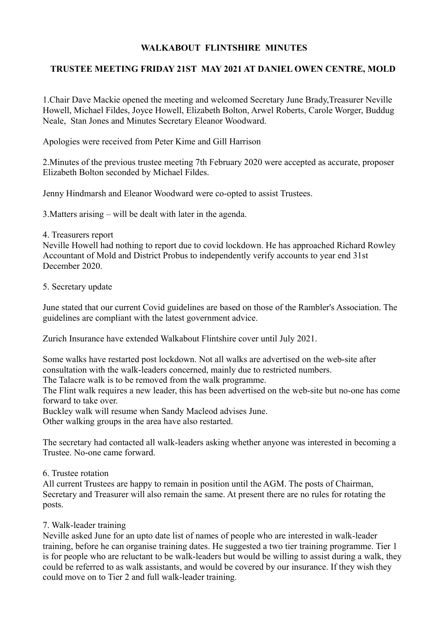## **WALKABOUT FLINTSHIRE MINUTES**

## **TRUSTEE MEETING FRIDAY 21ST MAY 2021 AT DANIEL OWEN CENTRE, MOLD**

1.Chair Dave Mackie opened the meeting and welcomed Secretary June Brady,Treasurer Neville Howell, Michael Fildes, Joyce Howell, Elizabeth Bolton, Arwel Roberts, Carole Worger, Buddug Neale, Stan Jones and Minutes Secretary Eleanor Woodward.

Apologies were received from Peter Kime and Gill Harrison

2.Minutes of the previous trustee meeting 7th February 2020 were accepted as accurate, proposer Elizabeth Bolton seconded by Michael Fildes.

Jenny Hindmarsh and Eleanor Woodward were co-opted to assist Trustees.

3.Matters arising – will be dealt with later in the agenda.

4. Treasurers report

Neville Howell had nothing to report due to covid lockdown. He has approached Richard Rowley Accountant of Mold and District Probus to independently verify accounts to year end 31st December 2020.

5. Secretary update

June stated that our current Covid guidelines are based on those of the Rambler's Association. The guidelines are compliant with the latest government advice.

Zurich Insurance have extended Walkabout Flintshire cover until July 2021.

Some walks have restarted post lockdown. Not all walks are advertised on the web-site after consultation with the walk-leaders concerned, mainly due to restricted numbers.

The Talacre walk is to be removed from the walk programme.

The Flint walk requires a new leader, this has been advertised on the web-site but no-one has come forward to take over.

Buckley walk will resume when Sandy Macleod advises June.

Other walking groups in the area have also restarted.

The secretary had contacted all walk-leaders asking whether anyone was interested in becoming a Trustee. No-one came forward.

## 6. Trustee rotation

All current Trustees are happy to remain in position until the AGM. The posts of Chairman, Secretary and Treasurer will also remain the same. At present there are no rules for rotating the posts.

## 7. Walk-leader training

Neville asked June for an upto date list of names of people who are interested in walk-leader training, before he can organise training dates. He suggested a two tier training programme. Tier 1 is for people who are reluctant to be walk-leaders but would be willing to assist during a walk, they could be referred to as walk assistants, and would be covered by our insurance. If they wish they could move on to Tier 2 and full walk-leader training.